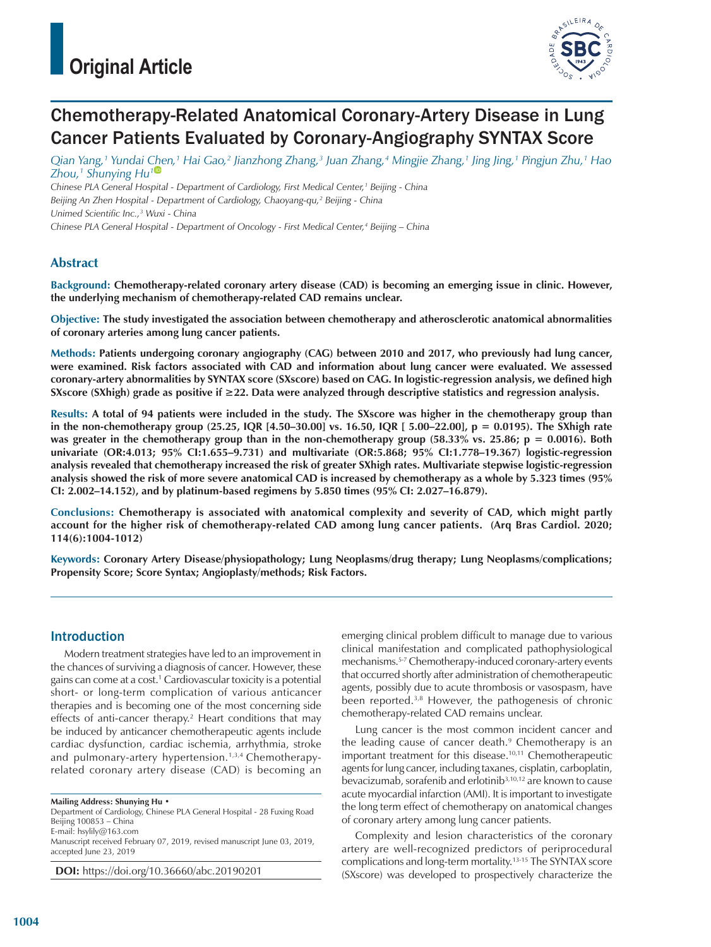

# Chemotherapy-Related Anatomical Coronary-Artery Disease in Lung Cancer Patients Evaluated by Coronary-Angiography SYNTAX Score

Qian Yang,1 Yundai C<u>h</u>en,1 Hai Gao,2 Jianzhong Zhang,3 Juan Zhang,4 Mingjie Zhang,1 Jing Jing,1 Pingjun Zhu,1 Hao *Zhou,1 Shunying Hu1*

*Chinese PLA General Hospital - Department of Cardiology, First Medical Center,1 Beijing - China* Beijing An Zhen Hospital - Department of Cardiology, Chaoyang-qu,<sup>2</sup> Beijing - China *Unimed Scientific Inc.,3 Wuxi - China Chinese PLA General Hospital - Department of Oncology - First Medical Center,4 Beijing – China*

## **Abstract**

**Background: Chemotherapy-related coronary artery disease (CAD) is becoming an emerging issue in clinic. However, the underlying mechanism of chemotherapy-related CAD remains unclear.** 

**Objective: The study investigated the association between chemotherapy and atherosclerotic anatomical abnormalities of coronary arteries among lung cancer patients.**

**Methods: Patients undergoing coronary angiography (CAG) between 2010 and 2017, who previously had lung cancer, were examined. Risk factors associated with CAD and information about lung cancer were evaluated. We assessed coronary-artery abnormalities by SYNTAX score (SXscore) based on CAG. In logistic-regression analysis, we defined high SXscore (SXhigh) grade as positive if ≥22. Data were analyzed through descriptive statistics and regression analysis.**

**Results: A total of 94 patients were included in the study. The SXscore was higher in the chemotherapy group than in the non-chemotherapy group (25.25, IQR [4.50–30.00] vs. 16.50, IQR [ 5.00–22.00], p = 0.0195). The SXhigh rate**  was greater in the chemotherapy group than in the non-chemotherapy group (58.33% vs. 25.86; p = 0.0016). Both **univariate (OR:4.013; 95% CI:1.655–9.731) and multivariate (OR:5.868; 95% CI:1.778–19.367) logistic-regression analysis revealed that chemotherapy increased the risk of greater SXhigh rates. Multivariate stepwise logistic-regression analysis showed the risk of more severe anatomical CAD is increased by chemotherapy as a whole by 5.323 times (95% CI: 2.002–14.152), and by platinum-based regimens by 5.850 times (95% CI: 2.027–16.879).**

**Conclusions: Chemotherapy is associated with anatomical complexity and severity of CAD, which might partly account for the higher risk of chemotherapy-related CAD among lung cancer patients. (Arq Bras Cardiol. 2020; 114(6):1004-1012)**

**Keywords: Coronary Artery Disease/physiopathology; Lung Neoplasms/drug therapy; Lung Neoplasms/complications; Propensity Score; Score Syntax; Angioplasty/methods; Risk Factors.**

## Introduction

Modern treatment strategies have led to an improvement in the chances of surviving a diagnosis of cancer. However, these gains can come at a cost.1 Cardiovascular toxicity is a potential short- or long-term complication of various anticancer therapies and is becoming one of the most concerning side effects of anti-cancer therapy.<sup>2</sup> Heart conditions that may be induced by anticancer chemotherapeutic agents include cardiac dysfunction, cardiac ischemia, arrhythmia, stroke and pulmonary-artery hypertension.<sup>1,3,4</sup> Chemotherapyrelated coronary artery disease (CAD) is becoming an

**Mailing Address: Shunying Hu** •

Department of Cardiology, Chinese PLA General Hospital - 28 Fuxing Road Beijing 100853 – China E-mail: hsylily@163.com

Manuscript received February 07, 2019, revised manuscript June 03, 2019, accepted June 23, 2019

**DOI:** https://doi.org/10.36660/abc.20190201

emerging clinical problem difficult to manage due to various clinical manifestation and complicated pathophysiological mechanisms.5-7 Chemotherapy-induced coronary-artery events that occurred shortly after administration of chemotherapeutic agents, possibly due to acute thrombosis or vasospasm, have been reported.3,8 However, the pathogenesis of chronic chemotherapy-related CAD remains unclear.

Lung cancer is the most common incident cancer and the leading cause of cancer death.<sup>9</sup> Chemotherapy is an important treatment for this disease.10,11 Chemotherapeutic agents for lung cancer, including taxanes, cisplatin, carboplatin, bevacizumab, sorafenib and erlotinib3,10,12 are known to cause acute myocardial infarction (AMI). It is important to investigate the long term effect of chemotherapy on anatomical changes of coronary artery among lung cancer patients.

Complexity and lesion characteristics of the coronary artery are well-recognized predictors of periprocedural complications and long-term mortality.13-15 The SYNTAX score (SXscore) was developed to prospectively characterize the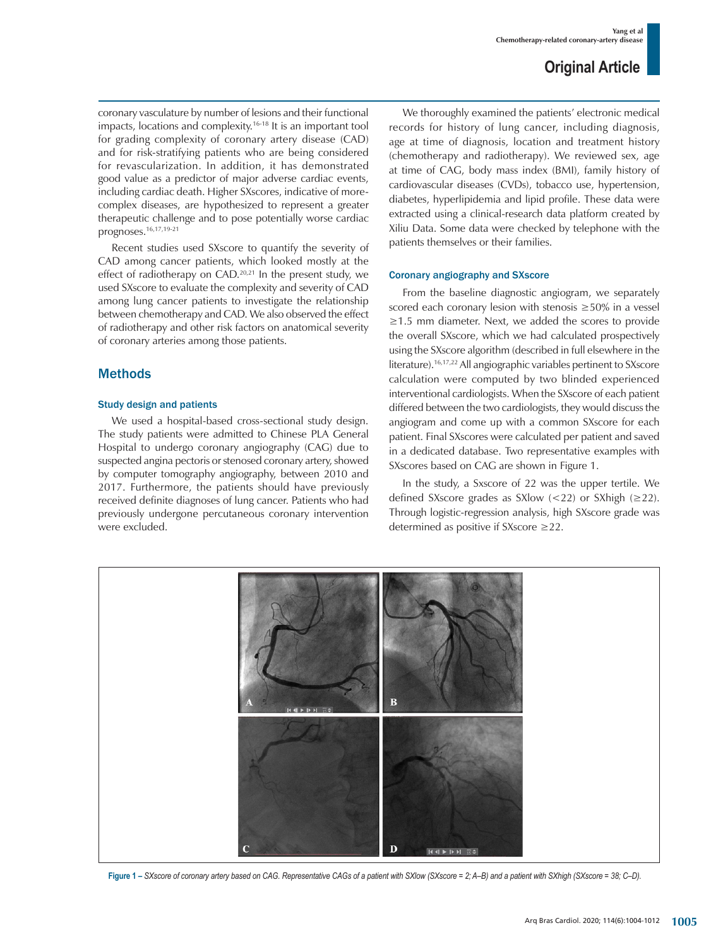coronary vasculature by number of lesions and their functional impacts, locations and complexity.<sup>16-18</sup> It is an important tool for grading complexity of coronary artery disease (CAD) and for risk-stratifying patients who are being considered for revascularization. In addition, it has demonstrated good value as a predictor of major adverse cardiac events, including cardiac death. Higher SXscores, indicative of morecomplex diseases, are hypothesized to represent a greater therapeutic challenge and to pose potentially worse cardiac prognoses.16,17,19-21

Recent studies used SXscore to quantify the severity of CAD among cancer patients, which looked mostly at the effect of radiotherapy on CAD.<sup>20,21</sup> In the present study, we used SXscore to evaluate the complexity and severity of CAD among lung cancer patients to investigate the relationship between chemotherapy and CAD. We also observed the effect of radiotherapy and other risk factors on anatomical severity of coronary arteries among those patients.

## Methods

## Study design and patients

We used a hospital-based cross-sectional study design. The study patients were admitted to Chinese PLA General Hospital to undergo coronary angiography (CAG) due to suspected angina pectoris or stenosed coronary artery, showed by computer tomography angiography, between 2010 and 2017. Furthermore, the patients should have previously received definite diagnoses of lung cancer. Patients who had previously undergone percutaneous coronary intervention were excluded.

We thoroughly examined the patients' electronic medical records for history of lung cancer, including diagnosis, age at time of diagnosis, location and treatment history (chemotherapy and radiotherapy). We reviewed sex, age at time of CAG, body mass index (BMI), family history of cardiovascular diseases (CVDs), tobacco use, hypertension, diabetes, hyperlipidemia and lipid profile. These data were extracted using a clinical-research data platform created by Xiliu Data. Some data were checked by telephone with the patients themselves or their families.

#### Coronary angiography and SXscore

From the baseline diagnostic angiogram, we separately scored each coronary lesion with stenosis ≥50% in a vessel ≥1.5 mm diameter. Next, we added the scores to provide the overall SXscore, which we had calculated prospectively using the SXscore algorithm (described in full elsewhere in the literature).16,17,22 All angiographic variables pertinent to SXscore calculation were computed by two blinded experienced interventional cardiologists. When the SXscore of each patient differed between the two cardiologists, they would discuss the angiogram and come up with a common SXscore for each patient. Final SXscores were calculated per patient and saved in a dedicated database. Two representative examples with SXscores based on CAG are shown in Figure 1.

In the study, a Sxscore of 22 was the upper tertile. We defined SXscore grades as SXlow  $\left($  < 22) or SXhigh  $\left( \geq 22 \right)$ . Through logistic-regression analysis, high SXscore grade was determined as positive if SXscore ≥22.



**Figure 1 –** *SXscore of coronary artery based on CAG. Representative CAGs of a patient with SXlow (SXscore = 2; A–B) and a patient with SXhigh (SXscore = 38; C–D).*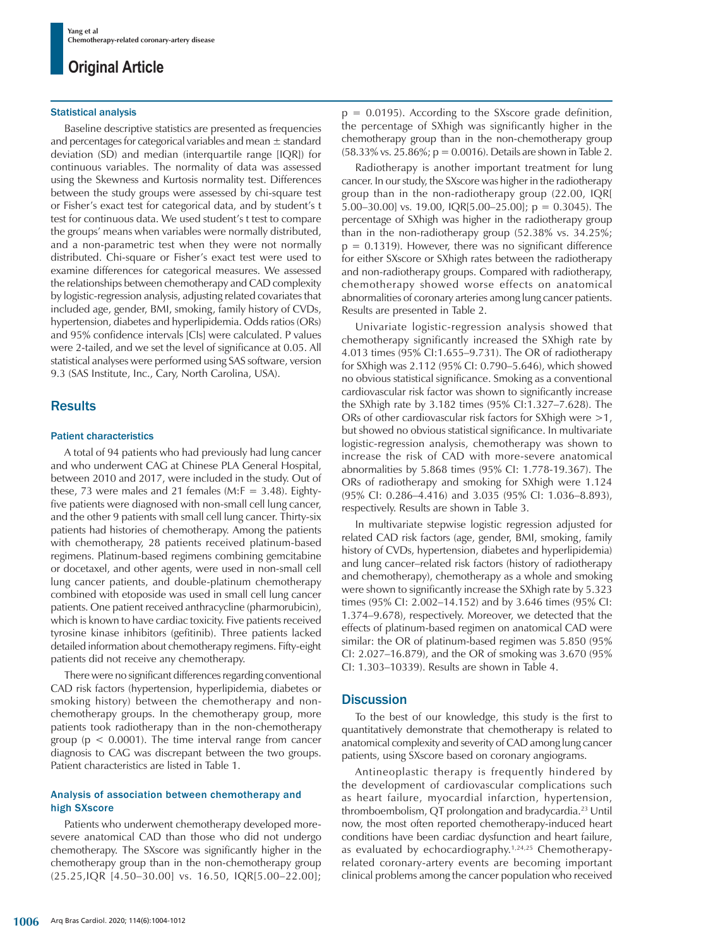#### Statistical analysis

Baseline descriptive statistics are presented as frequencies and percentages for categorical variables and mean  $\pm$  standard deviation (SD) and median (interquartile range [IQR]) for continuous variables. The normality of data was assessed using the Skewness and Kurtosis normality test. Differences between the study groups were assessed by chi-square test or Fisher's exact test for categorical data, and by student's t test for continuous data. We used student's t test to compare the groups' means when variables were normally distributed, and a non-parametric test when they were not normally distributed. Chi-square or Fisher's exact test were used to examine differences for categorical measures. We assessed the relationships between chemotherapy and CAD complexity by logistic-regression analysis, adjusting related covariates that included age, gender, BMI, smoking, family history of CVDs, hypertension, diabetes and hyperlipidemia. Odds ratios (ORs) and 95% confidence intervals [CIs] were calculated. P values were 2-tailed, and we set the level of significance at 0.05. All statistical analyses were performed using SAS software, version 9.3 (SAS Institute, Inc., Cary, North Carolina, USA).

### **Results**

#### Patient characteristics

A total of 94 patients who had previously had lung cancer and who underwent CAG at Chinese PLA General Hospital, between 2010 and 2017, were included in the study. Out of these, 73 were males and 21 females (M: $F = 3.48$ ). Eightyfive patients were diagnosed with non-small cell lung cancer, and the other 9 patients with small cell lung cancer. Thirty-six patients had histories of chemotherapy. Among the patients with chemotherapy, 28 patients received platinum-based regimens. Platinum-based regimens combining gemcitabine or docetaxel, and other agents, were used in non-small cell lung cancer patients, and double-platinum chemotherapy combined with etoposide was used in small cell lung cancer patients. One patient received anthracycline (pharmorubicin), which is known to have cardiac toxicity. Five patients received tyrosine kinase inhibitors (gefitinib). Three patients lacked detailed information about chemotherapy regimens. Fifty-eight patients did not receive any chemotherapy.

There were no significant differences regarding conventional CAD risk factors (hypertension, hyperlipidemia, diabetes or smoking history) between the chemotherapy and nonchemotherapy groups. In the chemotherapy group, more patients took radiotherapy than in the non-chemotherapy group ( $p < 0.0001$ ). The time interval range from cancer diagnosis to CAG was discrepant between the two groups. Patient characteristics are listed in Table 1.

#### Analysis of association between chemotherapy and high SXscore

Patients who underwent chemotherapy developed moresevere anatomical CAD than those who did not undergo chemotherapy. The SXscore was significantly higher in the chemotherapy group than in the non-chemotherapy group (25.25,IQR [4.50–30.00] vs. 16.50, IQR[5.00–22.00];  $p = 0.0195$ ). According to the SXscore grade definition, the percentage of SXhigh was significantly higher in the chemotherapy group than in the non-chemotherapy group (58.33% vs. 25.86%; p = 0.0016). Details are shown in Table 2.

Radiotherapy is another important treatment for lung cancer. In our study, the SXscore was higher in the radiotherapy group than in the non-radiotherapy group (22.00, IQR[ 5.00–30.00] vs. 19.00, IQR[5.00–25.00]; p = 0.3045). The percentage of SXhigh was higher in the radiotherapy group than in the non-radiotherapy group (52.38% vs. 34.25%;  $p = 0.1319$ . However, there was no significant difference for either SXscore or SXhigh rates between the radiotherapy and non-radiotherapy groups. Compared with radiotherapy, chemotherapy showed worse effects on anatomical abnormalities of coronary arteries among lung cancer patients. Results are presented in Table 2.

Univariate logistic-regression analysis showed that chemotherapy significantly increased the SXhigh rate by 4.013 times (95% CI:1.655–9.731). The OR of radiotherapy for SXhigh was 2.112 (95% CI: 0.790–5.646), which showed no obvious statistical significance. Smoking as a conventional cardiovascular risk factor was shown to significantly increase the SXhigh rate by 3.182 times (95% CI:1.327–7.628). The ORs of other cardiovascular risk factors for SX high were  $>1$ , but showed no obvious statistical significance. In multivariate logistic-regression analysis, chemotherapy was shown to increase the risk of CAD with more-severe anatomical abnormalities by 5.868 times (95% CI: 1.778-19.367). The ORs of radiotherapy and smoking for SXhigh were 1.124 (95% CI: 0.286–4.416) and 3.035 (95% CI: 1.036–8.893), respectively. Results are shown in Table 3.

In multivariate stepwise logistic regression adjusted for related CAD risk factors (age, gender, BMI, smoking, family history of CVDs, hypertension, diabetes and hyperlipidemia) and lung cancer–related risk factors (history of radiotherapy and chemotherapy), chemotherapy as a whole and smoking were shown to significantly increase the SXhigh rate by 5.323 times (95% CI: 2.002–14.152) and by 3.646 times (95% CI: 1.374–9.678), respectively. Moreover, we detected that the effects of platinum-based regimen on anatomical CAD were similar: the OR of platinum-based regimen was 5.850 (95% CI: 2.027–16.879), and the OR of smoking was 3.670 (95% CI: 1.303–10339). Results are shown in Table 4.

### **Discussion**

To the best of our knowledge, this study is the first to quantitatively demonstrate that chemotherapy is related to anatomical complexity and severity of CAD among lung cancer patients, using SXscore based on coronary angiograms.

Antineoplastic therapy is frequently hindered by the development of cardiovascular complications such as heart failure, myocardial infarction, hypertension, thromboembolism, QT prolongation and bradycardia.23 Until now, the most often reported chemotherapy-induced heart conditions have been cardiac dysfunction and heart failure, as evaluated by echocardiography.<sup>1,24,25</sup> Chemotherapyrelated coronary-artery events are becoming important clinical problems among the cancer population who received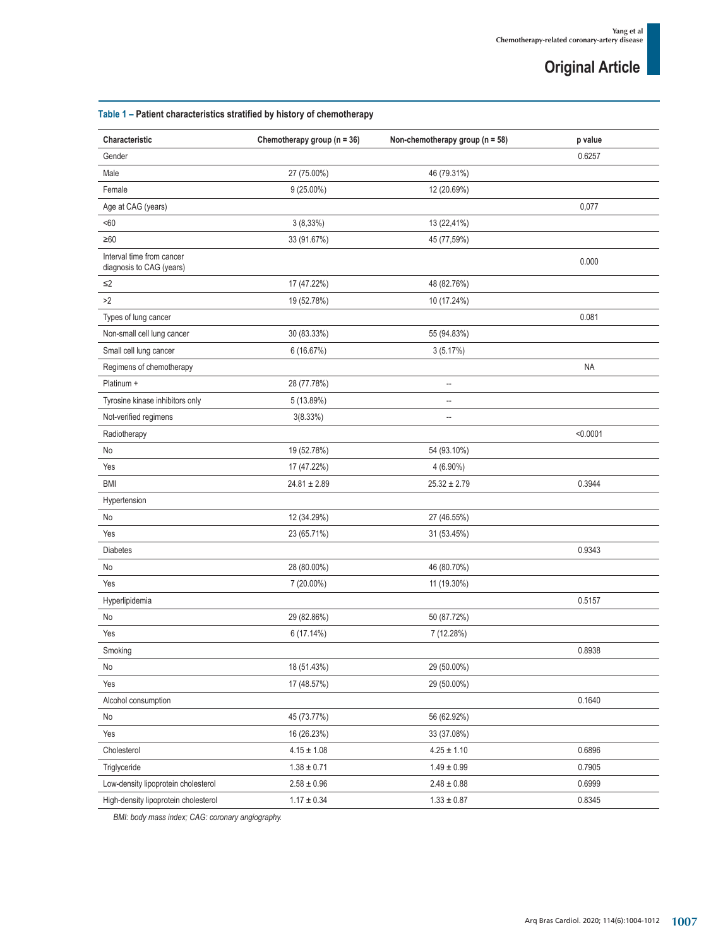## **Table 1 – Patient characteristics stratified by history of chemotherapy**

| Characteristic                                        | Chemotherapy group ( $n = 36$ ) | Non-chemotherapy group ( $n = 58$ ) | p value   |
|-------------------------------------------------------|---------------------------------|-------------------------------------|-----------|
| Gender                                                |                                 |                                     | 0.6257    |
| Male                                                  | 27 (75.00%)                     | 46 (79.31%)                         |           |
| Female                                                | $9(25.00\%)$                    | 12 (20.69%)                         |           |
| Age at CAG (years)                                    |                                 |                                     | 0,077     |
| $60$                                                  | 3(8,33%)                        | 13 (22,41%)                         |           |
| $\geq 60$                                             | 33 (91.67%)                     | 45 (77,59%)                         |           |
| Interval time from cancer<br>diagnosis to CAG (years) |                                 |                                     | 0.000     |
| $\leq$ 2                                              | 17 (47.22%)                     | 48 (82.76%)                         |           |
| >2                                                    | 19 (52.78%)                     | 10 (17.24%)                         |           |
| Types of lung cancer                                  |                                 |                                     | 0.081     |
| Non-small cell lung cancer                            | 30 (83.33%)                     | 55 (94.83%)                         |           |
| Small cell lung cancer                                | 6 (16.67%)                      | 3(5.17%)                            |           |
| Regimens of chemotherapy                              |                                 |                                     | <b>NA</b> |
| Platinum +                                            | 28 (77.78%)                     | $\overline{\phantom{a}}$            |           |
| Tyrosine kinase inhibitors only                       | 5 (13.89%)                      | $\overline{\phantom{a}}$            |           |
| Not-verified regimens                                 | 3(8.33%)                        |                                     |           |
| Radiotherapy                                          |                                 |                                     | < 0.0001  |
| No                                                    | 19 (52.78%)                     | 54 (93.10%)                         |           |
| Yes                                                   | 17 (47.22%)                     | 4 (6.90%)                           |           |
| <b>BMI</b>                                            | $24.81 \pm 2.89$                | $25.32 \pm 2.79$                    | 0.3944    |
| Hypertension                                          |                                 |                                     |           |
| No                                                    | 12 (34.29%)                     | 27 (46.55%)                         |           |
| Yes                                                   | 23 (65.71%)                     | 31 (53.45%)                         |           |
| <b>Diabetes</b>                                       |                                 |                                     | 0.9343    |
| No                                                    | 28 (80.00%)                     | 46 (80.70%)                         |           |
| Yes                                                   | 7 (20.00%)                      | 11 (19.30%)                         |           |
| Hyperlipidemia                                        |                                 |                                     | 0.5157    |
| No                                                    | 29 (82.86%)                     | 50 (87.72%)                         |           |
| Yes                                                   | 6 (17.14%)                      | 7 (12.28%)                          |           |
| Smoking                                               |                                 |                                     | 0.8938    |
| No                                                    | 18 (51.43%)                     | 29 (50.00%)                         |           |
| Yes                                                   | 17 (48.57%)                     | 29 (50.00%)                         |           |
| Alcohol consumption                                   |                                 |                                     | 0.1640    |
| No                                                    | 45 (73.77%)                     | 56 (62.92%)                         |           |
| Yes                                                   | 16 (26.23%)                     | 33 (37.08%)                         |           |
| Cholesterol                                           | $4.15 \pm 1.08$                 | $4.25 \pm 1.10$                     | 0.6896    |
| Triglyceride                                          | $1.38 \pm 0.71$                 | $1.49\pm0.99$                       | 0.7905    |
| Low-density lipoprotein cholesterol                   | $2.58\pm0.96$                   | $2.48\pm0.88$                       | 0.6999    |
| High-density lipoprotein cholesterol                  | $1.17\pm0.34$                   | $1.33\pm0.87$                       | 0.8345    |

*BMI: body mass index; CAG: coronary angiography.*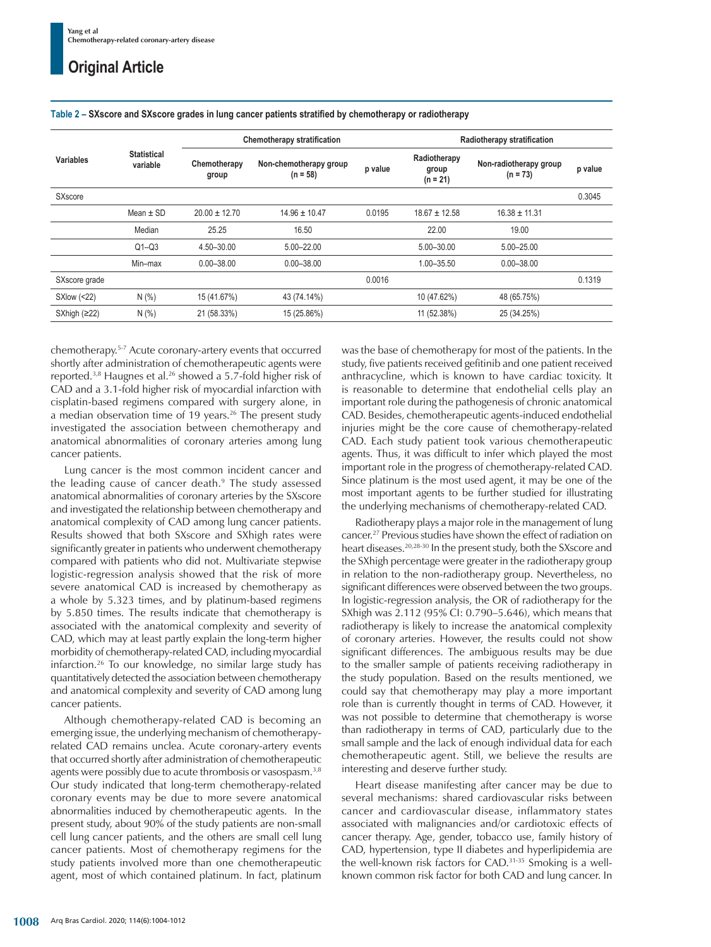| <b>Variables</b> |                                | <b>Chemotherapy stratification</b> |                                      | Radiotherapy stratification |                                     |                                      |         |
|------------------|--------------------------------|------------------------------------|--------------------------------------|-----------------------------|-------------------------------------|--------------------------------------|---------|
|                  | <b>Statistical</b><br>variable | Chemotherapy<br>group              | Non-chemotherapy group<br>$(n = 58)$ | p value                     | Radiotherapy<br>group<br>$(n = 21)$ | Non-radiotherapy group<br>$(n = 73)$ | p value |
| <b>SXscore</b>   |                                |                                    |                                      |                             |                                     |                                      | 0.3045  |
|                  | Mean $\pm$ SD                  | $20.00 \pm 12.70$                  | $14.96 \pm 10.47$                    | 0.0195                      | $18.67 \pm 12.58$                   | $16.38 \pm 11.31$                    |         |
|                  | Median                         | 25.25                              | 16.50                                |                             | 22.00                               | 19.00                                |         |
|                  | $Q1 - Q3$                      | 4.50-30.00                         | 5.00-22.00                           |                             | 5.00-30.00                          | $5.00 - 25.00$                       |         |
|                  | Min-max                        | $0.00 - 38.00$                     | $0.00 - 38.00$                       |                             | 1.00-35.50                          | $0.00 - 38.00$                       |         |
| SXscore grade    |                                |                                    |                                      | 0.0016                      |                                     |                                      | 0.1319  |
| $SXlow$ (<22)    | N(% )                          | 15 (41.67%)                        | 43 (74.14%)                          |                             | 10 (47.62%)                         | 48 (65.75%)                          |         |
| SXhigh $(≥22)$   | N(% )                          | 21 (58.33%)                        | 15 (25.86%)                          |                             | 11 (52.38%)                         | 25 (34.25%)                          |         |

#### **Table 2 – SXscore and SXscore grades in lung cancer patients stratified by chemotherapy or radiotherapy**

chemotherapy.5-7 Acute coronary-artery events that occurred shortly after administration of chemotherapeutic agents were reported.3,8 Haugnes et al.26 showed a 5.7-fold higher risk of CAD and a 3.1-fold higher risk of myocardial infarction with cisplatin-based regimens compared with surgery alone, in a median observation time of 19 years.<sup>26</sup> The present study investigated the association between chemotherapy and anatomical abnormalities of coronary arteries among lung cancer patients.

Lung cancer is the most common incident cancer and the leading cause of cancer death.<sup>9</sup> The study assessed anatomical abnormalities of coronary arteries by the SXscore and investigated the relationship between chemotherapy and anatomical complexity of CAD among lung cancer patients. Results showed that both SXscore and SXhigh rates were significantly greater in patients who underwent chemotherapy compared with patients who did not. Multivariate stepwise logistic-regression analysis showed that the risk of more severe anatomical CAD is increased by chemotherapy as a whole by 5.323 times, and by platinum-based regimens by 5.850 times. The results indicate that chemotherapy is associated with the anatomical complexity and severity of CAD, which may at least partly explain the long-term higher morbidity of chemotherapy-related CAD, including myocardial infarction.26 To our knowledge, no similar large study has quantitatively detected the association between chemotherapy and anatomical complexity and severity of CAD among lung cancer patients.

Although chemotherapy-related CAD is becoming an emerging issue, the underlying mechanism of chemotherapyrelated CAD remains unclea. Acute coronary-artery events that occurred shortly after administration of chemotherapeutic agents were possibly due to acute thrombosis or vasospasm.<sup>3,8</sup> Our study indicated that long-term chemotherapy-related coronary events may be due to more severe anatomical abnormalities induced by chemotherapeutic agents. In the present study, about 90% of the study patients are non-small cell lung cancer patients, and the others are small cell lung cancer patients. Most of chemotherapy regimens for the study patients involved more than one chemotherapeutic agent, most of which contained platinum. In fact, platinum was the base of chemotherapy for most of the patients. In the study, five patients received gefitinib and one patient received anthracycline, which is known to have cardiac toxicity. It is reasonable to determine that endothelial cells play an important role during the pathogenesis of chronic anatomical CAD. Besides, chemotherapeutic agents-induced endothelial injuries might be the core cause of chemotherapy-related CAD. Each study patient took various chemotherapeutic agents. Thus, it was difficult to infer which played the most important role in the progress of chemotherapy-related CAD. Since platinum is the most used agent, it may be one of the most important agents to be further studied for illustrating the underlying mechanisms of chemotherapy-related CAD.

Radiotherapy plays a major role in the management of lung cancer.27 Previous studies have shown the effect of radiation on heart diseases.20,28-30 In the present study, both the SXscore and the SXhigh percentage were greater in the radiotherapy group in relation to the non-radiotherapy group. Nevertheless, no significant differences were observed between the two groups. In logistic-regression analysis, the OR of radiotherapy for the SXhigh was 2.112 (95% CI: 0.790–5.646), which means that radiotherapy is likely to increase the anatomical complexity of coronary arteries. However, the results could not show significant differences. The ambiguous results may be due to the smaller sample of patients receiving radiotherapy in the study population. Based on the results mentioned, we could say that chemotherapy may play a more important role than is currently thought in terms of CAD. However, it was not possible to determine that chemotherapy is worse than radiotherapy in terms of CAD, particularly due to the small sample and the lack of enough individual data for each chemotherapeutic agent. Still, we believe the results are interesting and deserve further study.

Heart disease manifesting after cancer may be due to several mechanisms: shared cardiovascular risks between cancer and cardiovascular disease, inflammatory states associated with malignancies and/or cardiotoxic effects of cancer therapy. Age, gender, tobacco use, family history of CAD, hypertension, type II diabetes and hyperlipidemia are the well-known risk factors for CAD.31-35 Smoking is a wellknown common risk factor for both CAD and lung cancer. In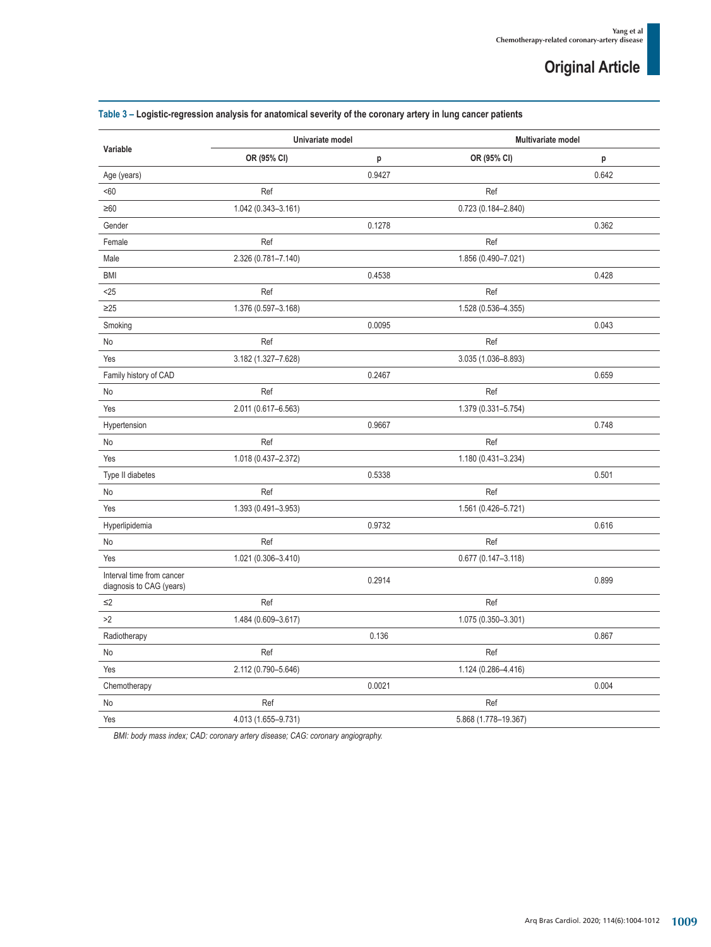| Variable                                              | Univariate model    |        | <b>Multivariate model</b> |       |
|-------------------------------------------------------|---------------------|--------|---------------------------|-------|
|                                                       | OR (95% CI)         | p      | OR (95% CI)               | p     |
| Age (years)                                           |                     | 0.9427 |                           | 0.642 |
| <60                                                   | Ref                 |        | Ref                       |       |
| $\geq 60$                                             | 1.042 (0.343-3.161) |        | $0.723(0.184 - 2.840)$    |       |
| Gender                                                |                     | 0.1278 |                           | 0.362 |
| Female                                                | Ref                 |        | Ref                       |       |
| Male                                                  | 2.326 (0.781-7.140) |        | 1.856 (0.490-7.021)       |       |
| <b>BMI</b>                                            |                     | 0.4538 |                           | 0.428 |
| $25$                                                  | Ref                 |        | Ref                       |       |
| $\geq$ 25                                             | 1.376 (0.597-3.168) |        | 1.528 (0.536-4.355)       |       |
| Smoking                                               |                     | 0.0095 |                           | 0.043 |
| No                                                    | Ref                 |        | Ref                       |       |
| Yes                                                   | 3.182 (1.327-7.628) |        | 3.035 (1.036-8.893)       |       |
| Family history of CAD                                 |                     | 0.2467 |                           | 0.659 |
| No                                                    | Ref                 |        | Ref                       |       |
| Yes                                                   | 2.011 (0.617-6.563) |        | 1.379 (0.331-5.754)       |       |
| Hypertension                                          |                     | 0.9667 |                           | 0.748 |
| No                                                    | Ref                 |        | Ref                       |       |
| Yes                                                   | 1.018 (0.437-2.372) |        | 1.180 (0.431-3.234)       |       |
| Type II diabetes                                      |                     | 0.5338 |                           | 0.501 |
| No                                                    | Ref                 |        | Ref                       |       |
| Yes                                                   | 1.393 (0.491-3.953) |        | 1.561 (0.426-5.721)       |       |
| Hyperlipidemia                                        |                     | 0.9732 |                           | 0.616 |
| No                                                    | Ref                 |        | Ref                       |       |
| Yes                                                   | 1.021 (0.306-3.410) |        | $0.677(0.147 - 3.118)$    |       |
| Interval time from cancer<br>diagnosis to CAG (years) |                     | 0.2914 |                           | 0.899 |
| $\leq$ 2                                              | Ref                 |        | Ref                       |       |
| >2                                                    | 1.484 (0.609-3.617) |        | 1.075 (0.350-3.301)       |       |
| Radiotherapy                                          |                     | 0.136  |                           | 0.867 |
| No                                                    | Ref                 |        | Ref                       |       |
| Yes                                                   | 2.112 (0.790-5.646) |        | 1.124 (0.286-4.416)       |       |
| Chemotherapy                                          |                     | 0.0021 |                           | 0.004 |
| No                                                    | Ref                 |        | Ref                       |       |
| Yes                                                   | 4.013 (1.655-9.731) |        | 5.868 (1.778-19.367)      |       |

## **Table 3 – Logistic-regression analysis for anatomical severity of the coronary artery in lung cancer patients**

*BMI: body mass index; CAD: coronary artery disease; CAG: coronary angiography.*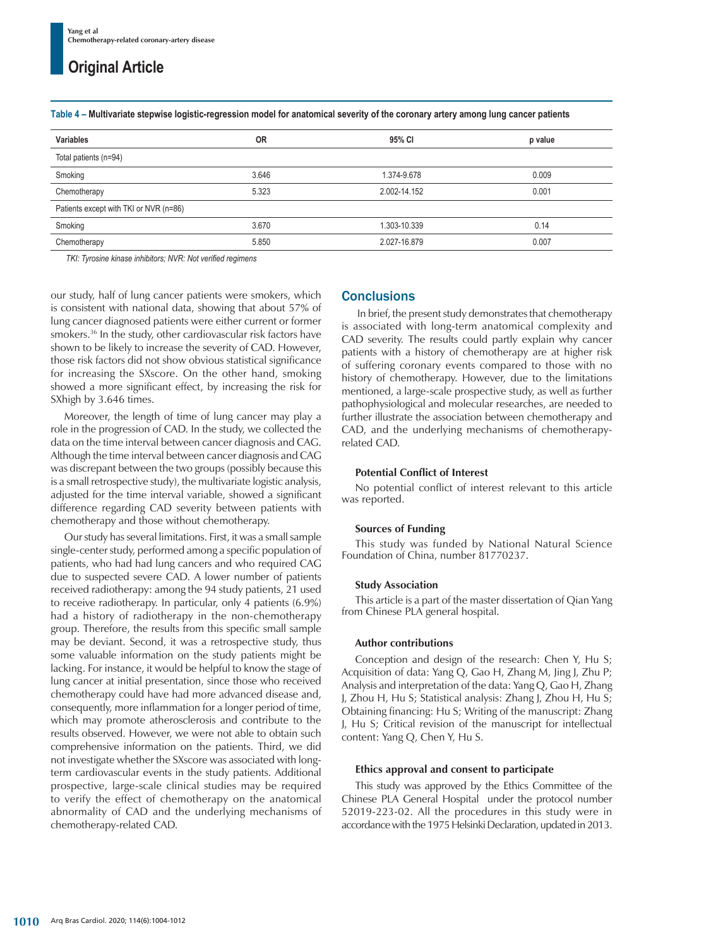| <b>Variables</b>                       | <b>OR</b> | 95% CI       | p value |  |
|----------------------------------------|-----------|--------------|---------|--|
| Total patients (n=94)                  |           |              |         |  |
| Smoking                                | 3.646     | 1.374-9.678  | 0.009   |  |
| Chemotherapy                           | 5.323     | 2.002-14.152 | 0.001   |  |
| Patients except with TKI or NVR (n=86) |           |              |         |  |
| Smoking                                | 3.670     | 1.303-10.339 | 0.14    |  |
| Chemotherapy                           | 5.850     | 2.027-16.879 | 0.007   |  |

**Table 4 – Multivariate stepwise logistic-regression model for anatomical severity of the coronary artery among lung cancer patients**

*TKI: Tyrosine kinase inhibitors; NVR: Not verified regimens*

our study, half of lung cancer patients were smokers, which is consistent with national data, showing that about 57% of lung cancer diagnosed patients were either current or former smokers.36 In the study, other cardiovascular risk factors have shown to be likely to increase the severity of CAD. However, those risk factors did not show obvious statistical significance for increasing the SXscore. On the other hand, smoking showed a more significant effect, by increasing the risk for SXhigh by 3.646 times.

Moreover, the length of time of lung cancer may play a role in the progression of CAD. In the study, we collected the data on the time interval between cancer diagnosis and CAG. Although the time interval between cancer diagnosis and CAG was discrepant between the two groups (possibly because this is a small retrospective study), the multivariate logistic analysis, adjusted for the time interval variable, showed a significant difference regarding CAD severity between patients with chemotherapy and those without chemotherapy.

Our study has several limitations. First, it was a small sample single-center study, performed among a specific population of patients, who had had lung cancers and who required CAG due to suspected severe CAD. A lower number of patients received radiotherapy: among the 94 study patients, 21 used to receive radiotherapy. In particular, only 4 patients (6.9%) had a history of radiotherapy in the non-chemotherapy group. Therefore, the results from this specific small sample may be deviant. Second, it was a retrospective study, thus some valuable information on the study patients might be lacking. For instance, it would be helpful to know the stage of lung cancer at initial presentation, since those who received chemotherapy could have had more advanced disease and, consequently, more inflammation for a longer period of time, which may promote atherosclerosis and contribute to the results observed. However, we were not able to obtain such comprehensive information on the patients. Third, we did not investigate whether the SXscore was associated with longterm cardiovascular events in the study patients. Additional prospective, large-scale clinical studies may be required to verify the effect of chemotherapy on the anatomical abnormality of CAD and the underlying mechanisms of chemotherapy-related CAD.

### **Conclusions**

 In brief, the present study demonstrates that chemotherapy is associated with long-term anatomical complexity and CAD severity. The results could partly explain why cancer patients with a history of chemotherapy are at higher risk of suffering coronary events compared to those with no history of chemotherapy. However, due to the limitations mentioned, a large-scale prospective study, as well as further pathophysiological and molecular researches, are needed to further illustrate the association between chemotherapy and CAD, and the underlying mechanisms of chemotherapyrelated CAD.

#### **Potential Conflict of Interest**

No potential conflict of interest relevant to this article was reported.

#### **Sources of Funding**

This study was funded by National Natural Science Foundation of China, number 81770237.

#### **Study Association**

This article is a part of the master dissertation of Qian Yang from Chinese PLA general hospital.

#### **Author contributions**

Conception and design of the research: Chen Y, Hu S; Acquisition of data: Yang Q, Gao H, Zhang M, Jing J, Zhu P; Analysis and interpretation of the data: Yang Q, Gao H, Zhang J, Zhou H, Hu S; Statistical analysis: Zhang J, Zhou H, Hu S; Obtaining financing: Hu S; Writing of the manuscript: Zhang J, Hu S; Critical revision of the manuscript for intellectual content: Yang Q, Chen Y, Hu S.

#### **Ethics approval and consent to participate**

This study was approved by the Ethics Committee of the Chinese PLA General Hospital under the protocol number 52019-223-02. All the procedures in this study were in accordance with the 1975 Helsinki Declaration, updated in 2013.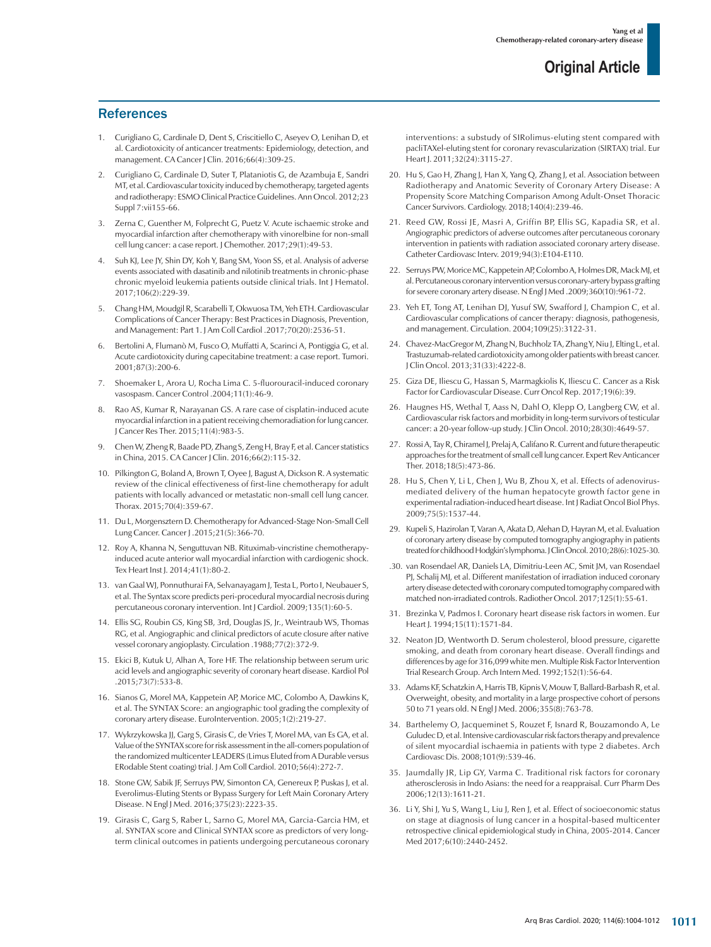## **References**

- 1. Curigliano G, Cardinale D, Dent S, Criscitiello C, Aseyev O, Lenihan D, et al. Cardiotoxicity of anticancer treatments: Epidemiology, detection, and management. CA Cancer J Clin. 2016;66(4):309-25.
- 2. Curigliano G, Cardinale D, Suter T, Plataniotis G, de Azambuja E, Sandri MT, et al. Cardiovascular toxicity induced by chemotherapy, targeted agents and radiotherapy: ESMO Clinical Practice Guidelines. Ann Oncol. 2012;23 Suppl 7:vii155-66.
- 3. Zerna C, Guenther M, Folprecht G, Puetz V. Acute ischaemic stroke and myocardial infarction after chemotherapy with vinorelbine for non-small cell lung cancer: a case report. J Chemother. 2017;29(1):49-53.
- 4. Suh KJ, Lee JY, Shin DY, Koh Y, Bang SM, Yoon SS, et al. Analysis of adverse events associated with dasatinib and nilotinib treatments in chronic-phase chronic myeloid leukemia patients outside clinical trials. Int J Hematol. 2017;106(2):229-39.
- 5. Chang HM, Moudgil R, Scarabelli T, Okwuosa TM, Yeh ETH. Cardiovascular Complications of Cancer Therapy: Best Practices in Diagnosis, Prevention, and Management: Part 1. J Am Coll Cardiol .2017;70(20):2536-51.
- 6. Bertolini A, Flumanò M, Fusco O, Muffatti A, Scarinci A, Pontiggia G, et al. Acute cardiotoxicity during capecitabine treatment: a case report. Tumori. 2001;87(3):200-6.
- 7. Shoemaker L, Arora U, Rocha Lima C. 5-fluorouracil-induced coronary vasospasm. Cancer Control .2004;11(1):46-9.
- Rao AS, Kumar R, Narayanan GS. A rare case of cisplatin-induced acute myocardial infarction in a patient receiving chemoradiation for lung cancer. J Cancer Res Ther. 2015;11(4):983-5.
- 9. Chen W, Zheng R, Baade PD, Zhang S, Zeng H, Bray F, et al. Cancer statistics in China, 2015. CA Cancer J Clin. 2016;66(2):115-32.
- 10. Pilkington G, Boland A, Brown T, Oyee J, Bagust A, Dickson R. A systematic review of the clinical effectiveness of first-line chemotherapy for adult patients with locally advanced or metastatic non-small cell lung cancer. Thorax. 2015;70(4):359-67.
- 11. Du L, Morgensztern D. Chemotherapy for Advanced-Stage Non-Small Cell Lung Cancer. Cancer J .2015;21(5):366-70.
- 12. Roy A, Khanna N, Senguttuvan NB. Rituximab-vincristine chemotherapyinduced acute anterior wall myocardial infarction with cardiogenic shock. Tex Heart Inst J. 2014;41(1):80-2.
- 13. van Gaal WJ, Ponnuthurai FA, Selvanayagam J, Testa L, Porto I, Neubauer S, et al. The Syntax score predicts peri-procedural myocardial necrosis during percutaneous coronary intervention. Int J Cardiol. 2009;135(1):60-5.
- 14. Ellis SG, Roubin GS, King SB, 3rd, Douglas JS, Jr., Weintraub WS, Thomas RG, et al. Angiographic and clinical predictors of acute closure after native vessel coronary angioplasty. Circulation .1988;77(2):372-9.
- 15. Ekici B, Kutuk U, Alhan A, Tore HF. The relationship between serum uric acid levels and angiographic severity of coronary heart disease. Kardiol Pol .2015;73(7):533-8.
- 16. Sianos G, Morel MA, Kappetein AP, Morice MC, Colombo A, Dawkins K, et al. The SYNTAX Score: an angiographic tool grading the complexity of coronary artery disease. EuroIntervention. 2005;1(2):219-27.
- 17. Wykrzykowska JJ, Garg S, Girasis C, de Vries T, Morel MA, van Es GA, et al. Value of the SYNTAX score for risk assessment in the all-comers population of the randomized multicenter LEADERS (Limus Eluted from A Durable versus ERodable Stent coating) trial. J Am Coll Cardiol. 2010;56(4):272-7.
- 18. Stone GW, Sabik JF, Serruys PW, Simonton CA, Genereux P, Puskas J, et al. Everolimus-Eluting Stents or Bypass Surgery for Left Main Coronary Artery Disease. N Engl J Med. 2016;375(23):2223-35.
- 19. Girasis C, Garg S, Raber L, Sarno G, Morel MA, Garcia-Garcia HM, et al. SYNTAX score and Clinical SYNTAX score as predictors of very longterm clinical outcomes in patients undergoing percutaneous coronary

interventions: a substudy of SIRolimus-eluting stent compared with pacliTAXel-eluting stent for coronary revascularization (SIRTAX) trial. Eur Heart J. 2011;32(24):3115-27.

- 20. Hu S, Gao H, Zhang J, Han X, Yang Q, Zhang J, et al. Association between Radiotherapy and Anatomic Severity of Coronary Artery Disease: A Propensity Score Matching Comparison Among Adult-Onset Thoracic Cancer Survivors. Cardiology. 2018;140(4):239-46.
- 21. Reed GW, Rossi JE, Masri A, Griffin BP, Ellis SG, Kapadia SR, et al. Angiographic predictors of adverse outcomes after percutaneous coronary intervention in patients with radiation associated coronary artery disease. Catheter Cardiovasc Interv. 2019;94(3):E104-E110.
- 22. Serruys PW, Morice MC, Kappetein AP, Colombo A, Holmes DR, Mack MJ, et al. Percutaneous coronary intervention versus coronary-artery bypass grafting for severe coronary artery disease. N Engl J Med .2009;360(10):961-72.
- 23. Yeh ET, Tong AT, Lenihan DJ, Yusuf SW, Swafford J, Champion C, et al. Cardiovascular complications of cancer therapy: diagnosis, pathogenesis, and management. Circulation. 2004;109(25):3122-31.
- 24. Chavez-MacGregor M, Zhang N, Buchholz TA, Zhang Y, Niu J, Elting L, et al. Trastuzumab-related cardiotoxicity among older patients with breast cancer. J Clin Oncol. 2013;31(33):4222-8.
- 25. Giza DE, Iliescu G, Hassan S, Marmagkiolis K, Iliescu C. Cancer as a Risk Factor for Cardiovascular Disease. Curr Oncol Rep. 2017;19(6):39.
- 26. Haugnes HS, Wethal T, Aass N, Dahl O, Klepp O, Langberg CW, et al. Cardiovascular risk factors and morbidity in long-term survivors of testicular cancer: a 20-year follow-up study. J Clin Oncol. 2010;28(30):4649-57.
- 27. Rossi A, Tay R, Chiramel J, Prelaj A, Califano R. Current and future therapeutic approaches for the treatment of small cell lung cancer. Expert Rev Anticancer Ther. 2018;18(5):473-86.
- 28. Hu S, Chen Y, Li L, Chen J, Wu B, Zhou X, et al. Effects of adenovirusmediated delivery of the human hepatocyte growth factor gene in experimental radiation-induced heart disease. Int J Radiat Oncol Biol Phys. 2009;75(5):1537-44.
- 29. Kupeli S, Hazirolan T, Varan A, Akata D, Alehan D, Hayran M, et al. Evaluation of coronary artery disease by computed tomography angiography in patients treated for childhood Hodgkin's lymphoma. J Clin Oncol. 2010;28(6):1025-30.
- .30. van Rosendael AR, Daniels LA, Dimitriu-Leen AC, Smit JM, van Rosendael PJ, Schalij MJ, et al. Different manifestation of irradiation induced coronary artery disease detected with coronary computed tomography compared with matched non-irradiated controls. Radiother Oncol. 2017;125(1):55-61.
- 31. Brezinka V, Padmos I. Coronary heart disease risk factors in women. Eur Heart J. 1994;15(11):1571-84.
- 32. Neaton JD, Wentworth D. Serum cholesterol, blood pressure, cigarette smoking, and death from coronary heart disease. Overall findings and differences by age for 316,099 white men. Multiple Risk Factor Intervention Trial Research Group. Arch Intern Med. 1992;152(1):56-64.
- 33. Adams KF, Schatzkin A, Harris TB, Kipnis V, Mouw T, Ballard-Barbash R, et al. Overweight, obesity, and mortality in a large prospective cohort of persons 50 to 71 years old. N Engl J Med. 2006;355(8):763-78.
- 34. Barthelemy O, Jacqueminet S, Rouzet F, Isnard R, Bouzamondo A, Le Guludec D, et al. Intensive cardiovascular risk factors therapy and prevalence of silent myocardial ischaemia in patients with type 2 diabetes. Arch Cardiovasc Dis. 2008;101(9):539-46.
- 35. Jaumdally JR, Lip GY, Varma C. Traditional risk factors for coronary atherosclerosis in Indo Asians: the need for a reappraisal. Curr Pharm Des 2006;12(13):1611-21.
- 36. Li Y, Shi J, Yu S, Wang L, Liu J, Ren J, et al. Effect of socioeconomic status on stage at diagnosis of lung cancer in a hospital-based multicenter retrospective clinical epidemiological study in China, 2005-2014. Cancer Med 2017;6(10):2440-2452.